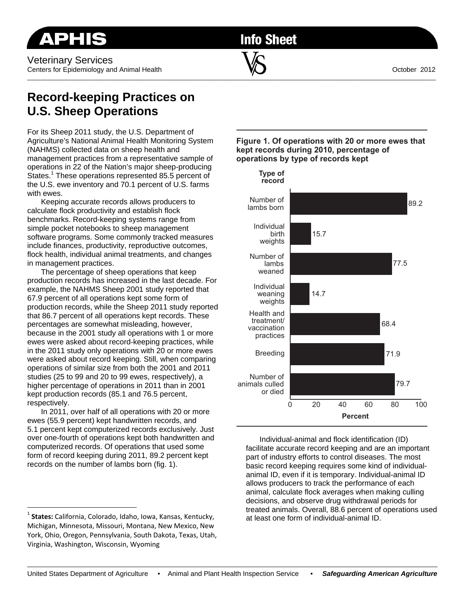**Info Sheet** 

\_\_\_\_\_\_\_\_\_\_\_\_\_\_\_\_\_\_\_\_\_\_\_\_\_\_\_\_\_\_\_\_\_\_\_\_\_\_\_\_\_\_\_\_\_\_\_\_\_\_\_\_\_\_\_\_\_\_\_\_\_\_\_\_\_\_\_\_\_\_\_\_\_\_\_\_\_\_\_\_\_\_\_\_\_\_\_\_\_\_\_\_\_\_\_\_\_\_\_\_\_\_\_\_\_\_\_\_\_\_\_\_\_\_\_\_\_\_\_\_\_

## **Record-keeping Practices on U.S. Sheep Operations**

For its Sheep 2011 study, the U.S. Department of Agriculture's National Animal Health Monitoring System (NAHMS) collected data on sheep health and management practices from a representative sample of operations in 22 of the Nation's major sheep-producing States.<sup>1</sup> These operations represented 85.5 percent of the U.S. ewe inventory and 70.1 percent of U.S. farms with ewes.

Keeping accurate records allows producers to calculate flock productivity and establish flock benchmarks. Record-keeping systems range from simple pocket notebooks to sheep management software programs. Some commonly tracked measures include finances, productivity, reproductive outcomes, flock health, individual animal treatments, and changes in management practices.

The percentage of sheep operations that keep production records has increased in the last decade. For example, the NAHMS Sheep 2001 study reported that 67.9 percent of all operations kept some form of production records, while the Sheep 2011 study reported that 86.7 percent of all operations kept records. These percentages are somewhat misleading, however, because in the 2001 study all operations with 1 or more ewes were asked about record-keeping practices, while in the 2011 study only operations with 20 or more ewes were asked about record keeping. Still, when comparing operations of similar size from both the 2001 and 2011 studies (25 to 99 and 20 to 99 ewes, respectively), a higher percentage of operations in 2011 than in 2001 kept production records (85.1 and 76.5 percent, respectively.

In 2011, over half of all operations with 20 or more ewes (55.9 percent) kept handwritten records, and 5.1 percent kept computerized records exclusively. Just over one-fourth of operations kept both handwritten and computerized records. Of operations that used some form of record keeping during 2011, 89.2 percent kept records on the number of lambs born (fig. 1).

 $\overline{a}$ 



**Figure 1. Of operations with 20 or more ewes that** 

**kept records during 2010, percentage of** 

Individual-animal and flock identification (ID) facilitate accurate record keeping and are an important part of industry efforts to control diseases. The most basic record keeping requires some kind of individualanimal ID, even if it is temporary. Individual-animal ID allows producers to track the performance of each animal, calculate flock averages when making culling decisions, and observe drug withdrawal periods for treated animals. Overall, 88.6 percent of operations used at least one form of individual-animal ID.

<sup>1</sup> **States:** California, Colorado, Idaho, Iowa, Kansas, Kentucky, Michigan, Minnesota, Missouri, Montana, New Mexico, New York, Ohio, Oregon, Pennsylvania, South Dakota, Texas, Utah, Virginia, Washington, Wisconsin, Wyoming